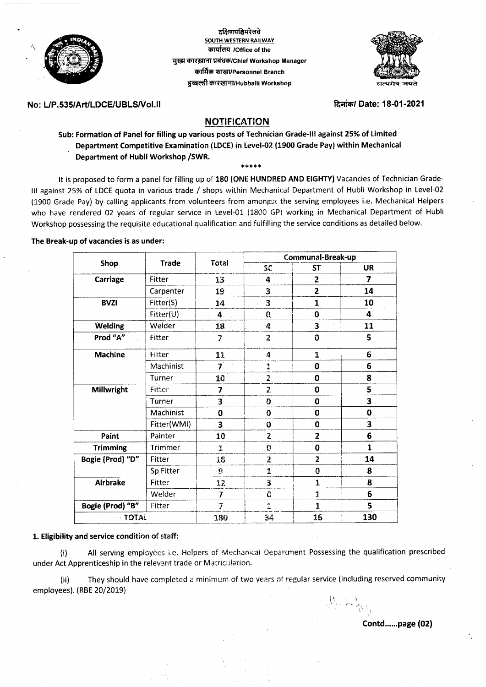

दक्षिणपश्चिमरेलवे **SOUTH WESTERN RAILWAY** कार्यालय /Office of the मुख्य कारख़ाना प्रबंधक/Chief Workshop Manager কাৰ্মিক যাজ্ৰা/Personnel Branch हुब्बल्ली कारखाना/Hubballi Workshop



## No: L/P.535/Art/LDCE/UBLS/Vol.II

दिनांक/ Date: 18-01-2021

# **NOTIFICATION**

Sub: Formation of Panel for filling up various posts of Technician Grade-III against 25% of Limited Department Competitive Examination (LDCE) in Level-02 (1900 Grade Pay) within Mechanical Department of Hubli Workshop /SWR.

\*\*\*\*\*

It is proposed to form a panel for filling up of 180 (ONE HUNDRED AND EIGHTY) Vacancies of Technician Grade-III against 25% of LDCE quota in various trade / shops within Mechanical Department of Hubli Workshop in Level-02 (1900 Grade Pay) by calling applicants from volunteers from amongst the serving employees i.e. Mechanical Helpers who have rendered 02 years of regular service in Level-01 (1800 GP) working in Mechanical Department of Hubli Workshop possessing the requisite educational qualification and fulfilling the service conditions as detailed below.

## The Break-up of vacancies is as under:

| Shop             | <b>Trade</b>   | Total                   | Communal-Break-up       |                |              |
|------------------|----------------|-------------------------|-------------------------|----------------|--------------|
|                  |                |                         | SC                      | <b>ST</b>      | UR           |
| Carriage         | Fitter         | 13                      | 4                       | $\overline{2}$ | 7            |
|                  | Carpenter      | 19                      | 3                       | 2              | 14           |
| <b>BVZI</b>      | Fitter(S)      | 14                      | 3                       | 1              | 10           |
|                  | Fitter(U)      | 4<br>a la               | Û,                      | $\bf{0}$       | 4            |
| <b>Welding</b>   | Welder         | 18.                     | 4                       | 3              | 11           |
| Prod "A"         | <b>Fitter</b>  | 7                       | $\tilde{z}$             | 0              | 5            |
| <b>Machine</b>   | Fitter         | 11                      | 4                       | 1              | 6            |
|                  | Machinist      | $\overline{\mathbf{7}}$ | 1                       | Ó              | 6            |
|                  | Turner         | 10                      | 2                       | 0              | 8            |
| Millwright       | Fitter         | 7                       | $\overline{z}$          | 0              | 5            |
|                  | Turner         | 3                       | 0                       | 0              | 3            |
|                  | Machinist      | 0                       | 0                       | 0              | $\bf{0}$     |
|                  | Fitter(WMI)    | 3                       | Ü                       | 0              | 3            |
| Paint            | Painter        | 10                      | $\mathbf{z}$            | $\overline{2}$ | 6            |
| <b>Trimming</b>  | <b>Trimmer</b> | 1                       | 0                       | 0              | $\mathbf{1}$ |
| Bogie (Prod) "D" | Fitter         | 18                      | $\overline{\mathbf{z}}$ | $\overline{2}$ | 14           |
|                  | Sp Fitter      | 9.                      | 1                       | 0              | 8            |
| <b>Airbrake</b>  | Fitter         | 12                      | 3                       | $\mathbf{1}$   | 8            |
|                  | Welder         | Ž                       | 0                       | 1              | 6            |
| Bogie (Prod) "B" | Fitter         | T                       | 1                       | $\mathbf{1}$   | 5            |
| <b>TOTAL</b>     |                | 180                     | 34                      | 16             | 130          |

#### 1. Eligibility and service condition of staff:

All serving employees i.e. Helpers of Mechanical Department Possessing the qualification prescribed  $(i)$ under Act Apprenticeship in the relevant trade or Matriculation.

They should have completed a minimum of two years of regular service (including reserved community  $(ii)$ employees). (RBE 20/2019)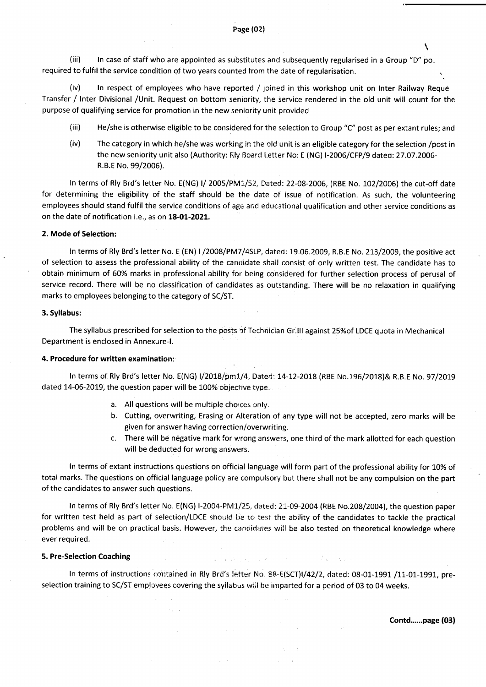(iii) ln case of staff who are appointed as substitutes and subsequently regularised in a Group "D" bo. required to fulfil the service condition of two years counted from the date of regularisation.

(iv) In respect of employees who have reported / joined in this workshop unit on Inter Railway Reque Transfer / lnter Divisional /Unit. Request on bottom seniority, the service rendered in the old unit will count for the purpose of qualifying service for promotion in the new seniority unit provided

- (iii) He/she is otherwise eligible to be considered for the selection to Group "C" post as per extant rules; and
- (iv) The category in which he/she was working in the old unit is an eligible category for the selection /post in the new seniority unit also (Authority: Fily Board Letter No: E (NG) I-2006/CFP/9 dated: 27.07.2006-R.B.E No. 99/2006).

In terms of Rly Brd's letter No. E(NG) I/ 2005/PM1/52, Dated: 22-08-2006, (RBE No. 102/2006) the cut-off date for determining the eligibility of the staff should be the date of issue of notification. As such, the volunteering employees should stand fulfil the service conditions of age and educational qualification and other service conditions as on the date of notification i.e., as on 18-01-2021.

#### 2. Mode of Selection:

In terms of Rly Brd's letter No. E (EN) I /2008/PM7/4SLP, dated: 19.06.2009, R.B.E No. 213/2009, the positive act of selection to assess the professional ability of the candidate shall consist of only written test. The candidate has to obtain minimum of 60% marks in professional ability for being considered for further selection process of perusal of service record. There will be no classification of candidates as outstanding. There will be no relaxation in qualifying marks to employees belonging to the category of SC/ST.

#### 3. Syllabus:

The syllabus prescribed for selection to the posts of Technician Gr.III against 25%of LDCE quota in Mechanical Department is enclosed in Annexure-|.

#### 4. Procedure for written examination

ln terms of Rly Brd's letter No. E(NG) I/2018/pm1/4, Dated: 14-12-2018 (RBE No.196/2018)& R.B.E No. 97/2019 dated 14-06-2019, the question paper will be 100% objective type.

- a. All questions will be multiple choices only.
- b. Cutting, overwriting, Erasing or Alteration of any type will not be accepted, zero marks will be given for answer having correction/overwriting.
- c. There will be negative mark for wrong answers, one third of the mark allotted for each question will be deducted for wrong answers.

In terms of extant instructions questions on official language will form part of the professional ability for 10% of total marks. The questions on official language policy are compulsory but there shall not be any compulsion on the part of the candidates to answer such questions.

In terms of Rly Brd's letter No. E(NG) I-2004-PM1/25, dated: 21-09-2004 (RBE No.208/2004), the question paper for written test held as part of selection/LDCE should be to test the ability of the candidates to tackle the practical problems and will be on practical basis. However, the candidates will be also tested on theoretical knowledge where ever required.

#### 5. Pre-Selection Coaching

In terms of instructions contained in Rly Brd's letter No. 88-E(SCT)I/42/2, dated: 08-01-1991 /11-01-1991, preselection training to SC/ST employees covering the syllabus wiil be imparted for a period of 03 to 04 weeks.

Contd......page (03)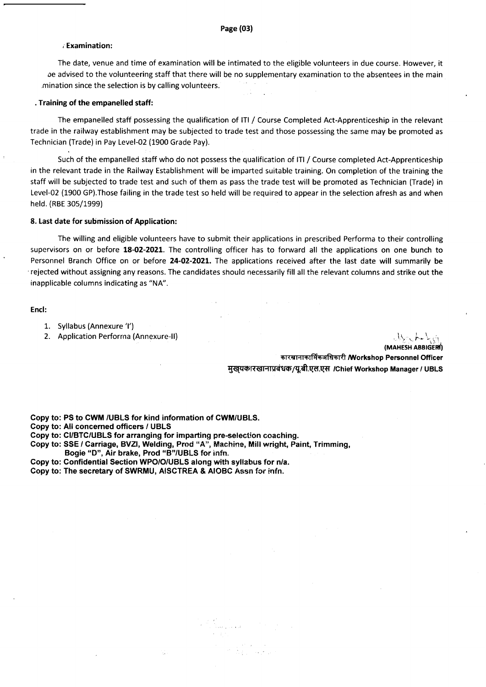#### i Examination:

The date, venue and time of examination will be intimated to the eligible volunteers in due course. However, it oe advised to the volunteering staff that there will be no supplementary examination to the absentees in the main mination since the selection is by calling volunteers.

## . Training of the empanelled staff:

The empanelled staff possessing the qualification of lTl / Course Completed Act-Apprenticeship in the relevant trade in the railway establishment may be subjected to trade test and those possessing the same may be promoted as Technician (Trade) in Pay Level-02 (1900 Grade Pay).

Such of the empanelled staff who do not possess the qualification of ITI / Course completed Act-Apprenticeship in the relevant trade in the Railway Establishment will be imparted suitable training. On completion of the training the staff will be subjected to trade test and such of them as pass the trade test will be promoted as Technician (Trade) in Level-02 (1900 GP).Those failing in the trade test so held will be required to appear in the selection afresh as and when held. (RBE 30s/1999)

#### 8. Last date for submission of Application:

The willing and eligible volunteers have to submit their applications in prescribed Performa to their controlling supervisors on or before 18-02-2021. The controlling officer has to forward all the applications on one bunch to Personnel Branch Office on or before 24-02-2021. The applications received after the last date will summarily be rejected without assigning any reasons. The candidates should necessarily fill all the relevant columns and strike out the inapplicable columns indicating as "NA".

#### Encl:

- 1. Syllabus(Annexure'l')
- 2. Application Performa (Annexure-II)

(MAHESH ABBIGERI)

कारखानाकार्मिकअधिकारी Morkshop Personnel Officer मुखयकारखानाप्रबंधक/यू.बी.एल.एस /Chief Workshop Manager / UBLS

Copy to: PS to GWM /UBLS for kind information of CWM/UBLS.

- Copy to: All concerned officers / UBLS
- Copy to: CUBTC/UBLS for arranging for imparting pre-selection coaching.
- Copy to: SSE / Carriage, BVZI, Welding, Prod "A", Machine, Mill wright, Paint, Trimming, Bogie "D", Air brake, Prod "B"/UBLS for infn.
- Copy to: Confidential Section WPO/O/UBLS along with syllabus for n/a.
- Copy to: The secretary of SWRMU, AISCTREA & AIOBC Assn for infn.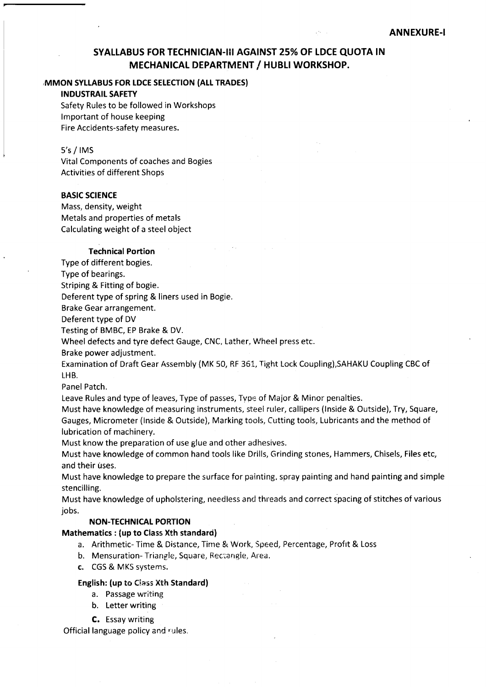# SYALLABUS FOR TECHNICIAN.II! AGAINST 25%OF LDCE QUOTA IN MECHANICAL DEPARTMENT / HUBLI WORKSHOP.

## ,MMON SYTLABUS FOR LDCE SELECTION (AtL TRADES)

## **INDUSTRAIL SAFETY**

Safety Rules to be followed in Workshops lmportant of house keeping Fire Accidents-safety measures.

## 5's / IMS

Vital Components of coaches and Bogies Activities of different Shops

## BASIC SCIENCE

Mass, density, weight Metals and properties of metals Calculating weight of a steel object

## Technical Portion

Type of different bogies.

Type of bearings.

Striping & Fitting of bogie.

Deferent type of spring & liners used in Bogie.

Brake Gear arrangement.

Deferent type of DV

Testing of BMBC, EP Brake & DV.

Wheel defects and tyre defect Gauge, CNC, Lather, Wheel press etc.

Brake power adjustment.

Examination of Draft Gear Assembly (MK 50, RF 36!, right Lock Coupling),SAHAKU Coupling CBC of LHB.

Panel Patch.

Leave Rules and type of leaves, Type of passes, Type of Major & Minor perraities.

Must have knowledge of measuring instruments, steel ruler, callipers (Inside & Outside), Try, Square, Gauges, Micrometer (lnside & Outside), Marking tools, Cutting tools, Lubricants and the method of lubrication of machinery.

Must know the preparation of use glue and other adhesives.

Must have knowledge of common hand tools like Drills, Grinding stones, Hammers, Chisels, Files etc, and their uses.

Must have knowledge to prepare the surface for painting, soray painting and hand painting and simple stencilling.

Must have knowledge of upholstering, needless and threads and correct spacing of stitches of various jobs.

## **NON-TECHNICAL PORTION**

## Mathematics : (up to Class Xth standard)

- a. Arithmetic- Time & Distance, Tirne & Work, Speed, Percentage, Profrt & Loss
- b. Mensuration- Triangle, Square, Rectangle, Area.
- c. CGS & MKS systems,

### English: (up to Class Xth Standard)

- a. Passage writing
- b. Letter writing
- C. Essay writing

Official language policy and rules.